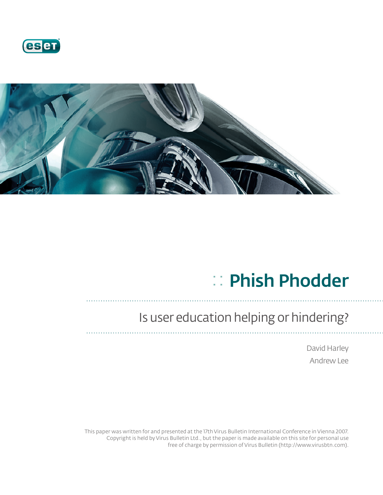



# :: Phish Phodder

# Is user education helping or hindering?

David Harley Andrew Lee

This paper was written for and presented at the 17th Virus Bulletin International Conference in Vienna 2007. Copyright is held by Virus Bulletin Ltd., but the paper is made available on this site for personal use free of charge by permission of Virus Bulletin (http://www.virusbtn.com).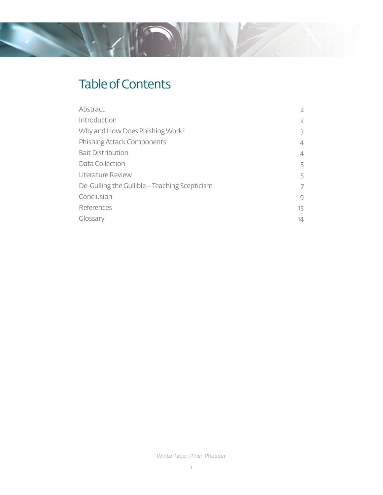# Table of Contents

| Abstract                                      | $\overline{2}$ |
|-----------------------------------------------|----------------|
| Introduction                                  | $\overline{2}$ |
| Why and How Does Phishing Work?               | 3              |
| Phishing Attack Components                    | 4              |
| <b>Bait Distribution</b>                      | 4              |
| Data Collection                               | 5              |
| Literature Review                             | 5              |
| De-Gulling the Gullible – Teaching Scepticism | 7              |
| Conclusion                                    | 9              |
| References                                    | 13             |
| Glossary                                      | 14             |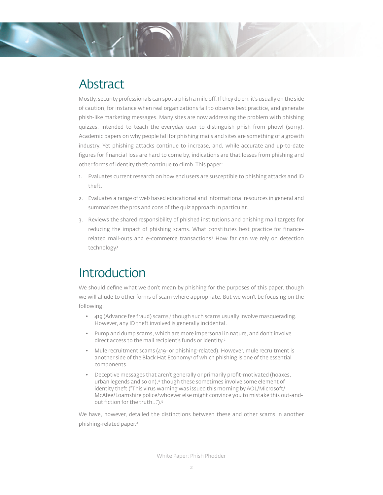### Abstract

Mostly, security professionals can spot a phish a mile off . If they do err, it's usually on the side of caution, for instance when real organizations fail to observe best practice, and generate phish-like marketing messages. Many sites are now addressing the problem with phishing quizzes, intended to teach the everyday user to distinguish phish from phowl (sorry). Academic papers on why people fall for phishing mails and sites are something of a growth industry. Yet phishing attacks continue to increase, and, while accurate and up-to-date figures for financial loss are hard to come by, indications are that losses from phishing and other forms of identity theft continue to climb. This paper:

- 1. Evaluates current research on how end users are susceptible to phishing attacks and ID theft.
- 2. Evaluates a range of web based educational and informational resources in general and summarizes the pros and cons of the quiz approach in particular.
- 3. Reviews the shared responsibility of phished institutions and phishing mail targets for reducing the impact of phishing scams. What constitutes best practice for financerelated mail-outs and e-commerce transactions? How far can we rely on detection technology?

#### **Introduction**

We should define what we don't mean by phishing for the purposes of this paper, though we will allude to other forms of scam where appropriate. But we won't be focusing on the following:

- 419 (Advance fee fraud) scams,<sup>1</sup> though such scams usually involve masquerading. However, any ID theft involved is generally incidental.
- Pump and dump scams, which are more impersonal in nature, and don't involve direct access to the mail recipient's funds or identity.<sup>2</sup>
- Mule recruitment scams (419- or phishing-related). However, mule recruitment is another side of the Black Hat Economy<sup>3</sup> of which phishing is one of the essential components.
- Deceptive messages that aren't generally or primarily profit-motivated (hoaxes, urban legends and so on),<sup>4</sup> though these sometimes involve some element of identity theft ("This virus warning was issued this morning by AOL/Microsoft/ McAfee/Loamshire police/whoever else might convince you to mistake this out-andout fiction for the truth...").<sup>5</sup>

We have, however, detailed the distinctions between these and other scams in another phishing-related paper.2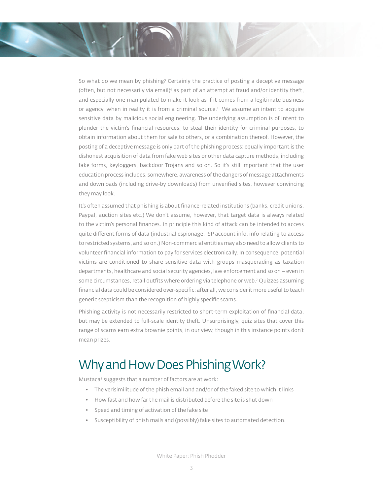So what do we mean by phishing? Certainly the practice of posting a deceptive message (often, but not necessarily via email) $\epsilon$  as part of an attempt at fraud and/or identity theft, and especially one manipulated to make it look as if it comes from a legitimate business or agency, when in reality it is from a criminal source.2 We assume an intent to acquire sensitive data by malicious social engineering. The underlying assumption is of intent to plunder the victim's financial resources, to steal their identity for criminal purposes, to obtain information about them for sale to others, or a combination thereof. However, the posting of a deceptive message is only part of the phishing process: equally important is the dishonest acquisition of data from fake web sites or other data capture methods, including fake forms, keyloggers, backdoor Trojans and so on. So it's still important that the user education process includes, somewhere, awareness of the dangers of message attachments and downloads (including drive-by downloads) from unverified sites, however convincing they may look.

It's often assumed that phishing is about finance-related institutions (banks, credit unions, Paypal, auction sites etc.) We don't assume, however, that target data is always related to the victim's personal finances. In principle this kind of attack can be intended to access quite different forms of data (industrial espionage, ISP account info, info relating to access to restricted systems, and so on.) Non-commercial entities may also need to allow clients to volunteer financial information to pay for services electronically. In consequence, potential victims are conditioned to share sensitive data with groups masquerading as taxation departments, healthcare and social security agencies, law enforcement and so on – even in some circumstances, retail outfits where ordering via telephone or web.<sup>7</sup> Quizzes assuming financial data could be considered over-specific: after all, we consider it more useful to teach generic scepticism than the recognition of highly specific scams.

Phishing activity is not necessarily restricted to short-term exploitation of financial data, but may be extended to full-scale identity theft. Unsurprisingly, quiz sites that cover this range of scams earn extra brownie points, in our view, though in this instance points don't mean prizes.

#### Why and How Does Phishing Work?

Mustaca<sup>8</sup> suggests that a number of factors are at work:

- The verisimilitude of the phish email and and/or of the faked site to which it links
- How fast and how far the mail is distributed before the site is shut down
- Speed and timing of activation of the fake site
- Susceptibility of phish mails and (possibly) fake sites to automated detection.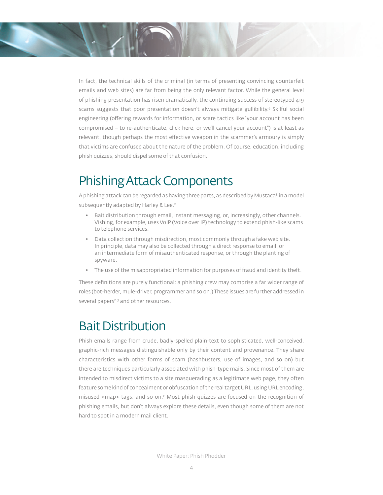In fact, the technical skills of the criminal (in terms of presenting convincing counterfeit emails and web sites) are far from being the only relevant factor. While the general level of phishing presentation has risen dramatically, the continuing success of stereotyped 419 scams suggests that poor presentation doesn't always mitigate gullibility.<sup>9</sup> Skilful social engineering (offering rewards for information, or scare tactics like "your account has been compromised – to re-authenticate, click here, or we'll cancel your account") is at least as relevant, though perhaps the most effective weapon in the scammer's armoury is simply that victims are confused about the nature of the problem. Of course, education, including phish quizzes, should dispel some of that confusion.

#### Phishing Attack Components

A phishing attack can be regarded as having three parts, as described by Mustaca<sup>8</sup> in a model subsequently adapted by Harley & Lee.<sup>2</sup>

- Bait distribution through email, instant messaging, or, increasingly, other channels. Vishing, for example, uses VoIP (Voice over IP) technology to extend phish-like scams to telephone services.
- Data collection through misdirection, most commonly through a fake web site. In principle, data may also be collected through a direct response to email, or an intermediate form of misauthenticated response, or through the planting of spyware.
- The use of the misappropriated information for purposes of fraud and identity theft.

These definitions are purely functional: a phishing crew may comprise a far wider range of roles (bot-herder, mule-driver, programmer and so on.) These issues are further addressed in several papers<sup>2, 3</sup> and other resources.

#### Bait Distribution

Phish emails range from crude, badly-spelled plain-text to sophisticated, well-conceived, graphic-rich messages distinguishable only by their content and provenance. They share characteristics with other forms of scam (hashbusters, use of images, and so on) but there are techniques particularly associated with phish-type mails. Since most of them are intended to misdirect victims to a site masquerading as a legitimate web page, they often feature some kind of concealment or obfuscation of the real target URL, using URL encoding, misused <map> tags, and so on.2 Most phish quizzes are focused on the recognition of phishing emails, but don't always explore these details, even though some of them are not hard to spot in a modern mail client.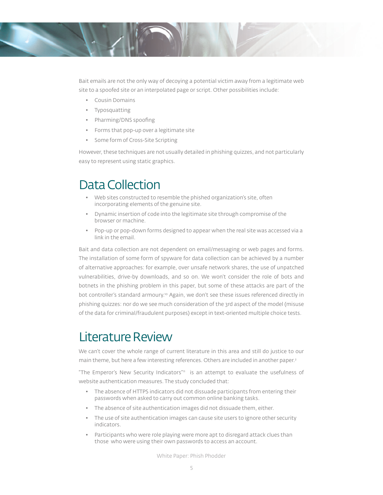

Bait emails are not the only way of decoying a potential victim away from a legitimate web site to a spoofed site or an interpolated page or script. Other possibilities include:

- Cousin Domains
- Typosquatting
- Pharming/DNS spoofing
- Forms that pop-up over a legitimate site
- Some form of Cross-Site Scripting

However, these techniques are not usually detailed in phishing quizzes, and not particularly easy to represent using static graphics.

#### Data Collection

- Web sites constructed to resemble the phished organization's site, often incorporating elements of the genuine site.
- Dynamic insertion of code into the legitimate site through compromise of the browser or machine.
- Pop-up or pop-down forms designed to appear when the real site was accessed via a link in the email.

Bait and data collection are not dependent on email/messaging or web pages and forms. The installation of some form of spyware for data collection can be achieved by a number of alternative approaches: for example, over unsafe network shares, the use of unpatched vulnerabilities, drive-by downloads, and so on. We won't consider the role of bots and botnets in the phishing problem in this paper, but some of these attacks are part of the bot controller's standard armoury.10 Again, we don't see these issues referenced directly in phishing quizzes: nor do we see much consideration of the 3rd aspect of the model (misuse of the data for criminal/fraudulent purposes) except in text-oriented multiple choice tests.

### Literature Review

We can't cover the whole range of current literature in this area and still do justice to our main theme, but here a few interesting references. Others are included in another paper.<sup>2</sup>

"The Emperor's New Security Indicators"<sup>11</sup> is an attempt to evaluate the usefulness of website authentication measures. The study concluded that:

- The absence of HTTPS indicators did not dissuade participants from entering their passwords when asked to carry out common online banking tasks.
- The absence of site authentication images did not dissuade them, either.
- The use of site authentication images can cause site users to ignore other security indicators.
- Participants who were role playing were more apt to disregard attack clues than those who were using their own passwords to access an account.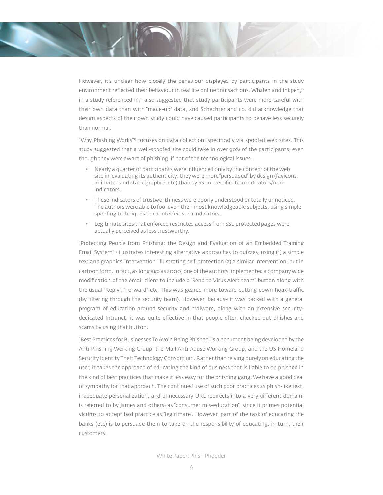However, it's unclear how closely the behaviour displayed by participants in the study environment reflected their behaviour in real life online transactions. Whalen and Inkpen,<sup>12</sup> in a study referenced in," also suggested that study participants were more careful with their own data than with "made-up" data, and Schechter and co. did acknowledge that design aspects of their own study could have caused participants to behave less securely than normal.

"Why Phishing Works"<sup>13</sup> focuses on data collection, specifically via spoofed web sites. This study suggested that a well-spoofed site could take in over 90% of the participants, even though they were aware of phishing, if not of the technological issues.

- Nearly a quarter of participants were influenced only by the content of the web site in evaluating its authenticity: they were more "persuaded" by design (favicons, animated and static graphics etc) than by SSL or certification indicators/nonindicators.
- These indicators of trustworthiness were poorly understood or totally unnoticed. The authors were able to fool even their most knowledgeable subjects, using simple spoofing techniques to counterfeit such indicators.
- Legitimate sites that enforced restricted access from SSL-protected pages were actually perceived as less trustworthy.

"Protecting People from Phishing: the Design and Evaluation of an Embedded Training Email System"14 illustrates interesting alternative approaches to quizzes, using (1) a simple text and graphics "intervention" illustrating self-protection (2) a similar intervention, but in cartoon form. In fact, as long ago as 2000, one of the authors implemented a company wide modification of the email client to include a "Send to Virus Alert team" button along with the usual "Reply", "Forward" etc. This was geared more toward cutting down hoax traffic (by filtering through the security team). However, because it was backed with a general program of education around security and malware, along with an extensive securitydedicated Intranet, it was quite effective in that people often checked out phishes and scams by using that button.

"Best Practices for Businesses To Avoid Being Phished" is a document being developed by the Anti-Phishing Working Group, the Mail Anti-Abuse Working Group, and the US Homeland Security Identity Theft Technology Consortium. Rather than relying purely on educating the user, it takes the approach of educating the kind of business that is liable to be phished in the kind of best practices that make it less easy for the phishing gang. We have a good deal of sympathy for that approach. The continued use of such poor practices as phish-like text, inadequate personalization, and unnecessary URL redirects into a very different domain, is referred to by James and others<sup>3</sup> as "consumer mis-education", since it primes potential victims to accept bad practice as "legitimate". However, part of the task of educating the banks (etc) is to persuade them to take on the responsibility of educating, in turn, their customers.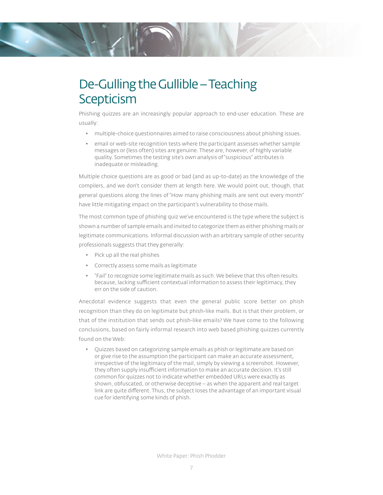## De-Gulling the Gullible – Teaching **Scepticism**

Phishing quizzes are an increasingly popular approach to end-user education. These are usually:

- multiple-choice questionnaires aimed to raise consciousness about phishing issues.
- email or web-site recognition tests where the participant assesses whether sample messages or (less often) sites are genuine. These are, however, of highly variable quality. Sometimes the testing site's own analysis of "suspicious" attributes is inadequate or misleading.

Multiple choice questions are as good or bad (and as up-to-date) as the knowledge of the compilers, and we don't consider them at length here. We would point out, though, that general questions along the lines of "How many phishing mails are sent out every month" have little mitigating impact on the participant's vulnerability to those mails.

The most common type of phishing quiz we've encountered is the type where the subject is shown a number of sample emails and invited to categorize them as either phishing mails or legitimate communications. Informal discussion with an arbitrary sample of other security professionals suggests that they generally:

- Pick up all the real phishes
- Correctly assess some mails as legitimate
- "Fail" to recognize some legitimate mails as such. We believe that this often results because, lacking sufficient contextual information to assess their legitimacy, they err on the side of caution.

Anecdotal evidence suggests that even the general public score better on phish recognition than they do on legitimate but phish-like mails. But is that their problem, or that of the institution that sends out phish-like emails? We have come to the following conclusions, based on fairly informal research into web based phishing quizzes currently found on the Web:

• Quizzes based on categorizing sample emails as phish or legitimate are based on or give rise to the assumption the participant can make an accurate assessment, irrespective of the legitimacy of the mail, simply by viewing a screenshot. However, they often supply insufficient information to make an accurate decision. It's still common for quizzes not to indicate whether embedded URLs were exactly as shown, obfuscated, or otherwise deceptive – as when the apparent and real target link are quite different. Thus, the subject loses the advantage of an important visual cue for identifying some kinds of phish.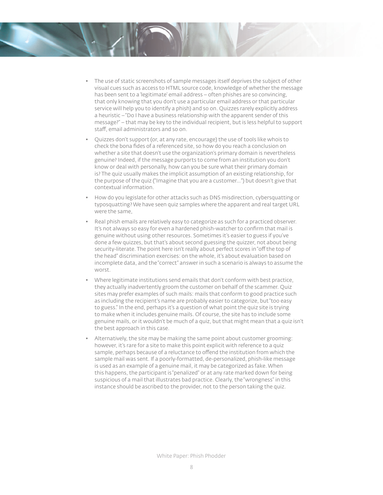- The use of static screenshots of sample messages itself deprives the subject of other visual cues such as access to HTML source code, knowledge of whether the message has been sent to a 'legitimate' email address – often phishes are so convincing, that only knowing that you don't use a particular email address or that particular service will help you to identify a phish) and so on. Quizzes rarely explicitly address a heuristic – "Do I have a business relationship with the apparent sender of this message?" – that may be key to the individual recipient, but is less helpful to support staff, email administrators and so on.
- Quizzes don't support (or, at any rate, encourage) the use of tools like whois to check the bona fides of a referenced site, so how do you reach a conclusion on whether a site that doesn't use the organization's primary domain is nevertheless genuine? Indeed, if the message purports to come from an institution you don't know or deal with personally, how can you be sure what their primary domain is? The quiz usually makes the implicit assumption of an existing relationship, for the purpose of the quiz ("Imagine that you are a customer…") but doesn't give that contextual information.
- How do you legislate for other attacks such as DNS misdirection, cybersquatting or typosquatting? We have seen quiz samples where the apparent and real target URL were the same,
- Real phish emails are relatively easy to categorize as such for a practiced observer. It's not always so easy for even a hardened phish-watcher to confirm that mail is genuine without using other resources. Sometimes it's easier to guess if you've done a few quizzes, but that's about second guessing the quizzer, not about being security-literate. The point here isn't really about perfect scores in "off the top of the head" discrimination exercises: on the whole, it's about evaluation based on incomplete data, and the "correct" answer in such a scenario is always to assume the worst.
- Where legitimate institutions send emails that don't conform with best practice, they actually inadvertently groom the customer on behalf of the scammer. Quiz sites may prefer examples of such mails: mails that conform to good practice such as including the recipient's name are probably easier to categorize, but "too easy to guess." In the end, perhaps it's a question of what point the quiz site is trying to make when it includes genuine mails. Of course, the site has to include some genuine mails, or it wouldn't be much of a quiz, but that might mean that a quiz isn't the best approach in this case.
- Alternatively, the site may be making the same point about customer grooming: however, it's rare for a site to make this point explicit with reference to a quiz sample, perhaps because of a reluctance to offend the institution from which the sample mail was sent. If a poorly-formatted, de-personalized, phish-like message is used as an example of a genuine mail, it may be categorized as fake. When this happens, the participant is "penalized" or at any rate marked down for being suspicious of a mail that illustrates bad practice. Clearly, the "wrongness" in this instance should be ascribed to the provider, not to the person taking the quiz.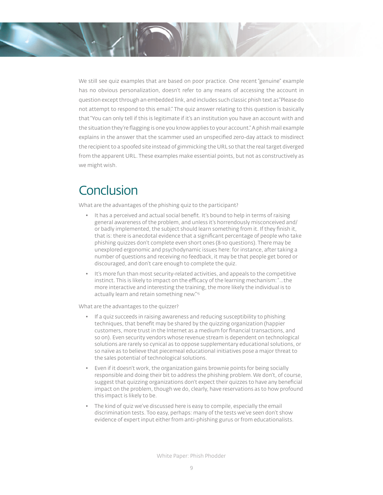We still see quiz examples that are based on poor practice. One recent "genuine" example has no obvious personalization, doesn't refer to any means of accessing the account in question except through an embedded link, and includes such classic phish text as "Please do not attempt to respond to this email." The quiz answer relating to this question is basically that "You can only tell if this is legitimate if it's an institution you have an account with and the situation they're flagging is one you know applies to your account." A phish mail example explains in the answer that the scammer used an unspecified zero-day attack to misdirect the recipient to a spoofed site instead of gimmicking the URL so that the real target diverged from the apparent URL. These examples make essential points, but not as constructively as we might wish.

### **Conclusion**

What are the advantages of the phishing quiz to the participant?

- It has a perceived and actual social benefit. It's bound to help in terms of raising general awareness of the problem, and unless it's horrendously misconceived and/ or badly implemented, the subject should learn something from it. If they finish it, that is: there is anecdotal evidence that a significant percentage of people who take phishing quizzes don't complete even short ones (8-10 questions). There may be unexplored ergonomic and psychodynamic issues here: for instance, after taking a number of questions and receiving no feedback, it may be that people get bored or discouraged, and don't care enough to complete the quiz.
- It's more fun than most security-related activities, and appeals to the competitive instinct. This is likely to impact on the efficacy of the learning mechanism: "... the more interactive and interesting the training, the more likely the individual is to actually learn and retain something new."15

What are the advantages to the quizzer?

- If a quiz succeeds in raising awareness and reducing susceptibility to phishing techniques, that benefit may be shared by the quizzing organization (happier customers, more trust in the Internet as a medium for financial transactions, and so on). Even security vendors whose revenue stream is dependent on technological solutions are rarely so cynical as to oppose supplementary educational solutions, or so naïve as to believe that piecemeal educational initiatives pose a major threat to the sales potential of technological solutions.
- Even if it doesn't work, the organization gains brownie points for being socially responsible and doing their bit to address the phishing problem. We don't, of course, suggest that quizzing organizations don't expect their quizzes to have any beneficial impact on the problem, though we do, clearly, have reservations as to how profound this impact is likely to be.
- The kind of quiz we've discussed here is easy to compile, especially the email discrimination tests. Too easy, perhaps: many of the tests we've seen don't show evidence of expert input either from anti-phishing gurus or from educationalists.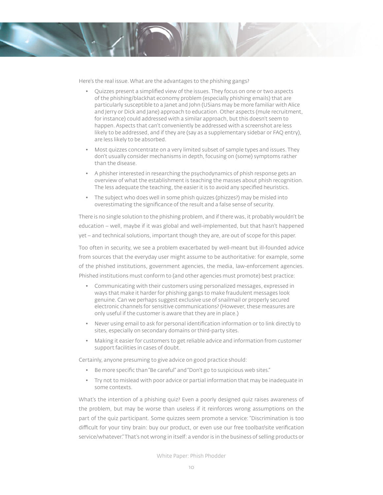

Here's the real issue. What are the advantages to the phishing gangs?

- Quizzes present a simplified view of the issues. They focus on one or two aspects of the phishing/blackhat economy problem (especially phishing emails) that are particularly susceptible to a Janet and John (USians may be more familiar with Alice and Jerry or Dick and Jane) approach to education. Other aspects (mule recruitment, for instance) could addressed with a similar approach, but this doesn't seem to happen. Aspects that can't conveniently be addressed with a screenshot are less likely to be addressed, and if they are (say as a supplementary sidebar or FAQ entry), are less likely to be absorbed.
- Most quizzes concentrate on a very limited subset of sample types and issues. They don't usually consider mechanisms in depth, focusing on (some) symptoms rather than the disease.
- A phisher interested in researching the psychodynamics of phish response gets an overview of what the establishment is teaching the masses about phish recognition. The less adequate the teaching, the easier it is to avoid any specified heuristics.
- The subject who does well in some phish quizzes (phizzes?) may be misled into overestimating the significance of the result and a false sense of security.

There is no single solution to the phishing problem, and if there was, it probably wouldn't be education – well, maybe if it was global and well-implemented, but that hasn't happened yet – and technical solutions, important though they are, are out of scope for this paper.

Too often in security, we see a problem exacerbated by well-meant but ill-founded advice from sources that the everyday user might assume to be authoritative: for example, some of the phished institutions, government agencies, the media, law-enforcement agencies. Phished institutions must conform to (and other agencies must promote) best practice:

- Communicating with their customers using personalized messages, expressed in ways that make it harder for phishing gangs to make fraudulent messages look genuine. Can we perhaps suggest exclusive use of snailmail or properly secured electronic channels for sensitive communications? (However, these measures are only useful if the customer is aware that they are in place.)
- Never using email to ask for personal identification information or to link directly to sites, especially on secondary domains or third-party sites.
- Making it easier for customers to get reliable advice and information from customer support facilities in cases of doubt.

Certainly, anyone presuming to give advice on good practice should:

- Be more specific than "Be careful" and "Don't go to suspicious web sites."
- Try not to mislead with poor advice or partial information that may be inadequate in some contexts.

What's the intention of a phishing quiz? Even a poorly designed quiz raises awareness of the problem, but may be worse than useless if it reinforces wrong assumptions on the part of the quiz participant. Some quizzes seem promote a service: "Discrimination is too difficult for your tiny brain: buy our product, or even use our free toolbar/site verification service/whatever." That's not wrong in itself: a vendor is in the business of selling products or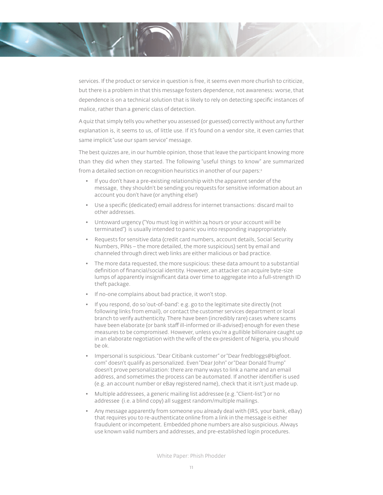services. If the product or service in question is free, it seems even more churlish to criticize, but there is a problem in that this message fosters dependence, not awareness: worse, that dependence is on a technical solution that is likely to rely on detecting specific instances of malice, rather than a generic class of detection.

A quiz that simply tells you whether you assessed (or guessed) correctly without any further explanation is, it seems to us, of little use. If it's found on a vendor site, it even carries that same implicit "use our spam service" message.

The best quizzes are, in our humble opinion, those that leave the participant knowing more than they did when they started. The following "useful things to know" are summarized from a detailed section on recognition heuristics in another of our papers:<sup>2</sup>

- If you don't have a pre-existing relationship with the apparent sender of the message, they shouldn't be sending you requests for sensitive information about an account you don't have (or anything else!)
- Use a specific (dedicated) email address for internet transactions: discard mail to other addresses.
- Untoward urgency ("You must log in within 24 hours or your account will be terminated") is usually intended to panic you into responding inappropriately.
- Requests for sensitive data (credit card numbers, account details, Social Security Numbers, PINs – the more detailed, the more suspicious) sent by email and channeled through direct web links are either malicious or bad practice.
- The more data requested, the more suspicious: these data amount to a substantial definition of financial/social identity. However, an attacker can acquire byte-size lumps of apparently insignificant data over time to aggregate into a full-strength ID theft package.
- If no-one complains about bad practice, it won't stop.
- If you respond, do so 'out-of-band': e.g. go to the legitimate site directly (not following links from email), or contact the customer services department or local branch to verify authenticity. There have been (incredibly rare) cases where scams have been elaborate (or bank staff ill-informed or ill-advised) enough for even these measures to be compromised. However, unless you're a gullible billionaire caught up in an elaborate negotiation with the wife of the ex-president of Nigeria, you should be ok.
- Impersonal is suspicious. "Dear Citibank customer" or "Dear fredbloggs@bigfoot. com" doesn't qualify as personalized. Even "Dear John" or "Dear Donald Trump" doesn't prove personalization: there are many ways to link a name and an email address, and sometimes the process can be automated. If another identifier is used (e.g. an account number or eBay registered name), check that it isn't just made up.
- Multiple addressees, a generic mailing list addressee (e.g. "Client-list") or no addressee (i.e. a blind copy) all suggest random/multiple mailings.
- Any message apparently from someone you already deal with (IRS, your bank, eBay) that requires you to re-authenticate online from a link in the message is either fraudulent or incompetent. Embedded phone numbers are also suspicious. Always use known valid numbers and addresses, and pre-established login procedures.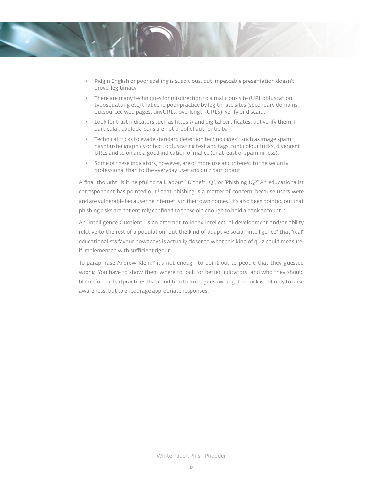

- Pidgin English or poor spelling is suspicious, but impeccable presentation doesn't prove legitimacy.
- There are many techniques for misdirection to a malicious site (URL obfuscation, typosquatting etc) that echo poor practice by legitimate sites (secondary domains, outsourced web pages, tinyURLs, overlength URLS): verify or discard.
- Look for trust indicators such as https:// and digital certificates, but verify them. In particular, padlock icons are not proof of authenticity.
- Technical tricks to evade standard detection technologies<sup>22</sup> such as image spam, hashbuster graphics or text, obfuscating text and tags, font colour tricks, divergent URLs and so on are a good indication of malice (or at least of spamminess).
- Some of these indicators, however, are of more use and interest to the security professional than to the everyday user and quiz participant.

A final thought: is it helpful to talk about "ID theft IQ", or "Phishing IQ?" An educationalist correspondent has pointed out<sup>16</sup> that phishing is a matter of concern "because users were and are vulnerable because the internet is in their own homes." It's also been pointed out that phishing risks are not entirely confined to those old enough to hold a bank account.<sup>17</sup>

An "Intelligence Quotient" is an attempt to index intellectual development and/or ability relative to the rest of a population, but the kind of adaptive social "intelligence" that "real" educationalists favour nowadays is actually closer to what this kind of quiz could measure, if implemented with sufficient rigour.

To paraphrase Andrew Klein,<sup>18</sup> it's not enough to point out to people that they guessed wrong. You have to show them where to look for better indicators, and who they should blame for the bad practices that condition them to guess wrong. The trick is not only to raise awareness, but to encourage appropriate responses.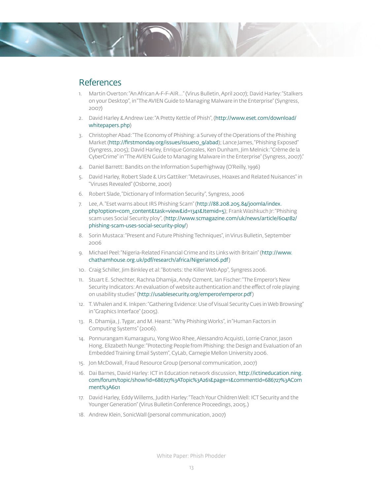

#### References

- 1. Martin Overton: "An African A-F-F-AIR…" (Virus Bulletin, April 2007); David Harley: "Stalkers on your Desktop", in "The AVIEN Guide to Managing Malware in the Enterprise" (Syngress, 2007)
- 2. David Harley & Andrew Lee: "A Pretty Kettle of Phish", (http://www.eset.com/download/ whitepapers.php)
- 3. Christopher Abad: "The Economy of Phishing: a Survey of the Operations of the Phishing Market (http://firstmonday.org/issues/issue10\_9/abad); Lance James, "Phishing Exposed" (Syngress, 2005); David Harley, Enrique Gonzales, Ken Dunham, Jim Melnick: "Crème de la CyberCrime" in "The AVIEN Guide to Managing Malware in the Enterprise" (Syngress, 2007)."
- 4. Daniel Barrett: Bandits on the Information Superhighway (O'Reilly, 1996)
- 5. David Harley, Robert Slade & Urs Gattiker: "Metaviruses, Hoaxes and Related Nuisances" in "Viruses Revealed" (Osborne, 2001)
- 6. Robert Slade, "Dictionary of Information Security", Syngress, 2006
- 7. Lee, A. "Eset warns about IRS Phishing Scam" (http://88.208.205.84/joomla/index. php?option=com\_content&task=view&id=1341&Itemid=5); Frank Washkuch Jr: "Phishing scam uses Social Security ploy", (http://www.scmagazine.com/uk/news/article/604182/ phishing-scam-uses-social-security-ploy/)
- 8. Sorin Mustaca: "Present and Future Phishing Techniques", in Virus Bulletin, September 2006
- 9. Michael Peel: "Nigeria-Related Financial Crime and its Links with Britain" (http://www. chathamhouse.org.uk/pdf/research/africa/Nigeria1106.pdf)
- 10. Craig Schiller, Jim Binkley et al: "Botnets: the Killer Web App", Syngress 2006.
- 11. Stuart E. Schechter, Rachna Dhamija, Andy Ozment, Ian Fischer: "The Emperor's New Security Indicators: An evaluation of website authentication and the effect of role playing on usability studies" (http://usablesecurity.org/emperor/emperor.pdf)
- 12. T. Whalen and K. Inkpen: "Gathering Evidence: Use of Visual Security Cues in Web Browsing" in "Graphics Interface" (2005).
- 13. R. Dhamija, J. Tygar, and M. Hearst: "Why Phishing Works", in "Human Factors in Computing Systems" (2006).
- 14. Ponnurangam Kumaraguru, Yong Woo Rhee, Alessandro Acquisti, Lorrie Cranor, Jason Hong, Elizabeth Nunge: "Protecting People from Phishing: the Design and Evaluation of an Embedded Training Email System", CyLab, Carnegie Mellon University 2006.
- 15. Jon McDowall, Fraud Resource Group (personal communication, 2007)
- 16. Dai Barnes, David Harley: ICT in Education network discussion, http://ictineducation.ning. com/forum/topic/show?id=686727%3ATopic%3A261&page=1&commentId=686727%3ACom ment%3A601
- 17. David Harley, Eddy Willems, Judith Harley: "Teach Your Children Well: ICT Security and the Younger Generation" (Virus Bulletin Conference Proceedings, 2005.)
- 18. Andrew Klein, SonicWall (personal communication, 2007)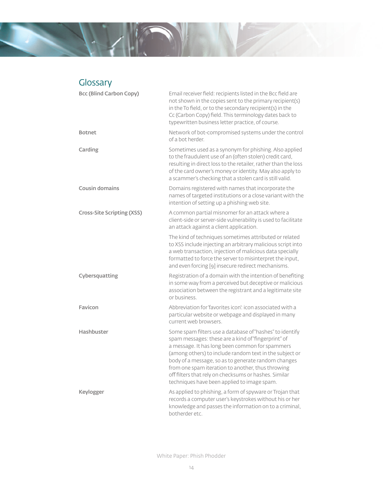#### Glossary

| <b>Bcc (Blind Carbon Copy)</b>    | Email receiver field: recipients listed in the Bcc field are<br>not shown in the copies sent to the primary recipient(s)<br>in the To field, or to the secondary recipient(s) in the<br>Cc (Carbon Copy) field. This terminology dates back to<br>typewritten business letter practice, of course.                                                                                                                                                |
|-----------------------------------|---------------------------------------------------------------------------------------------------------------------------------------------------------------------------------------------------------------------------------------------------------------------------------------------------------------------------------------------------------------------------------------------------------------------------------------------------|
| <b>Botnet</b>                     | Network of bot-compromised systems under the control<br>of a bot herder.                                                                                                                                                                                                                                                                                                                                                                          |
| Carding                           | Sometimes used as a synonym for phishing. Also applied<br>to the fraudulent use of an (often stolen) credit card,<br>resulting in direct loss to the retailer, rather than the loss<br>of the card owner's money or identity. May also apply to<br>a scammer's checking that a stolen card is still valid.                                                                                                                                        |
| <b>Cousin domains</b>             | Domains registered with names that incorporate the<br>names of targeted institutions or a close variant with the<br>intention of setting up a phishing web site.                                                                                                                                                                                                                                                                                  |
| <b>Cross-Site Scripting (XSS)</b> | A common partial misnomer for an attack where a<br>client-side or server-side vulnerability is used to facilitate<br>an attack against a client application.                                                                                                                                                                                                                                                                                      |
|                                   | The kind of techniques sometimes attributed or related<br>to XSS include injecting an arbitrary malicious script into<br>a web transaction, injection of malicious data specially<br>formatted to force the server to misinterpret the input,<br>and even forcing [9] insecure redirect mechanisms.                                                                                                                                               |
| Cybersquatting                    | Registration of a domain with the intention of benefiting<br>in some way from a perceived but deceptive or malicious<br>association between the registrant and a legitimate site<br>or business.                                                                                                                                                                                                                                                  |
| Favicon                           | Abbreviation for 'favorites icon': icon associated with a<br>particular website or webpage and displayed in many<br>current web browsers.                                                                                                                                                                                                                                                                                                         |
| Hashbuster                        | Some spam filters use a database of "hashes" to identify<br>spam messages: these are a kind of "fingerprint" of<br>a message. It has long been common for spammers<br>(among others) to include random text in the subject or<br>body of a message, so as to generate random changes<br>from one spam iteration to another, thus throwing<br>off filters that rely on checksums or hashes. Similar<br>techniques have been applied to image spam. |
| Keylogger                         | As applied to phishing, a form of spyware or Trojan that<br>records a computer user's keystrokes without his or her<br>knowledge and passes the information on to a criminal,<br>botherder etc.                                                                                                                                                                                                                                                   |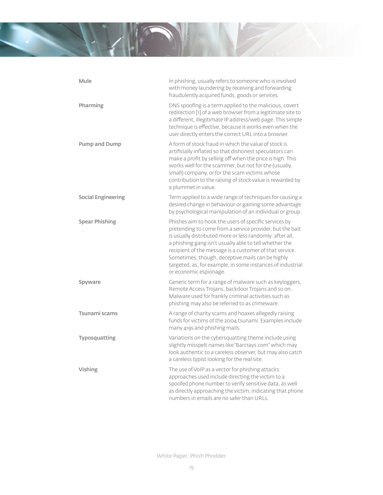

| Mule                      | In phishing, usually refers to someone who is involved<br>with money laundering by receiving and forwarding<br>fraudulently acquired funds, goods or services.                                                                                                                                                                                                                                                                                 |
|---------------------------|------------------------------------------------------------------------------------------------------------------------------------------------------------------------------------------------------------------------------------------------------------------------------------------------------------------------------------------------------------------------------------------------------------------------------------------------|
| Pharming                  | DNS spoofing is a term applied to the malicious, covert<br>redirection [1] of a web browser from a legitimate site to<br>a different, illegitimate IP address/web page. This simple<br>technique is effective, because it works even when the<br>user directly enters the correct URL into a browser.                                                                                                                                          |
| Pump and Dump             | A form of stock fraud in which the value of stock is<br>artificially inflated so that dishonest speculators can<br>make a profit by selling off when the price is high. This<br>works well for the scammer, but not for the (usually<br>small) company, or for the scam victims whose<br>contribution to the raising of stock value is rewarded by<br>a plummet in value.                                                                      |
| <b>Social Engineering</b> | Term applied to a wide range of techniques for causing a<br>desired change in behaviour or gaining some advantage<br>by psychological manipulation of an individual or group.                                                                                                                                                                                                                                                                  |
| <b>Spear Phishing</b>     | Phishes aim to hook the users of specific services by<br>pretending to come from a service provider, but the bait<br>is usually distributed more or less randomly: after all,<br>a phishing gang isn't usually able to tell whether the<br>recipient of the message is a customer of that service.<br>Sometimes, though, deceptive mails can be highly<br>targeted, as, for example, in some instances of industrial<br>or economic espionage. |
| Spyware                   | Generic term for a range of malware such as keyloggers,<br>Remote Access Trojans, backdoor Trojans and so on.<br>Malware used for frankly criminal activities such as<br>phishing may also be referred to as crimeware.                                                                                                                                                                                                                        |
| Tsunami scams             | A range of charity scams and hoaxes allegedly raising<br>funds for victims of the 2004 tsunami. Examples include<br>many 419s and phishing mails.                                                                                                                                                                                                                                                                                              |
| Typosquatting             | Variations on the cybersquatting theme include using<br>slightly misspelt names like "Barciays.com" which may<br>look authentic to a careless observer, but may also catch<br>a careless typist looking for the real site.                                                                                                                                                                                                                     |
| Vishing                   | The use of VoIP as a vector for phishing attacks:<br>approaches used include directing the victim to a<br>spoofed phone number to verify sensitive data, as well<br>as directly approaching the victim, indicating that phone<br>numbers in emails are no safer than URLs.                                                                                                                                                                     |